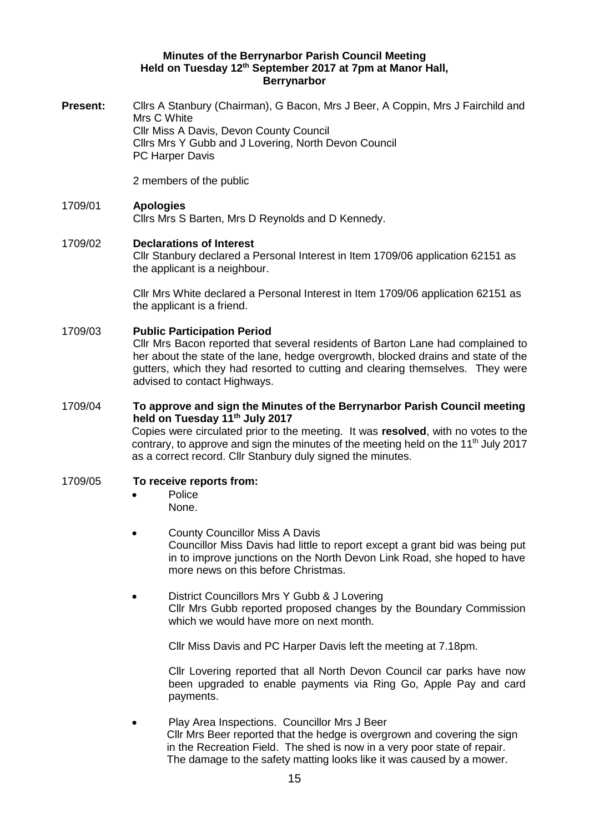#### **Minutes of the Berrynarbor Parish Council Meeting Held on Tuesday 12th September 2017 at 7pm at Manor Hall, Berrynarbor**

**Present:** Cllrs A Stanbury (Chairman), G Bacon, Mrs J Beer, A Coppin, Mrs J Fairchild and Mrs C White Cllr Miss A Davis, Devon County Council Cllrs Mrs Y Gubb and J Lovering, North Devon Council PC Harper Davis

2 members of the public

# 1709/01 **Apologies**

Cllrs Mrs S Barten, Mrs D Reynolds and D Kennedy.

# 1709/02 **Declarations of Interest**

Cllr Stanbury declared a Personal Interest in Item 1709/06 application 62151 as the applicant is a neighbour.

Cllr Mrs White declared a Personal Interest in Item 1709/06 application 62151 as the applicant is a friend.

#### 1709/03 **Public Participation Period**

Cllr Mrs Bacon reported that several residents of Barton Lane had complained to her about the state of the lane, hedge overgrowth, blocked drains and state of the gutters, which they had resorted to cutting and clearing themselves. They were advised to contact Highways.

### 1709/04 **To approve and sign the Minutes of the Berrynarbor Parish Council meeting held on Tuesday 11th July 2017**

Copies were circulated prior to the meeting. It was **resolved**, with no votes to the contrary, to approve and sign the minutes of the meeting held on the 11<sup>th</sup> July 2017 as a correct record. Cllr Stanbury duly signed the minutes.

## 1709/05 **To receive reports from:**

- Police None.
- County Councillor Miss A Davis Councillor Miss Davis had little to report except a grant bid was being put in to improve junctions on the North Devon Link Road, she hoped to have more news on this before Christmas.
- District Councillors Mrs Y Gubb & J Lovering Cllr Mrs Gubb reported proposed changes by the Boundary Commission which we would have more on next month.

Cllr Miss Davis and PC Harper Davis left the meeting at 7.18pm.

Cllr Lovering reported that all North Devon Council car parks have now been upgraded to enable payments via Ring Go, Apple Pay and card payments.

• Play Area Inspections. Councillor Mrs J Beer Cllr Mrs Beer reported that the hedge is overgrown and covering the sign in the Recreation Field. The shed is now in a very poor state of repair. The damage to the safety matting looks like it was caused by a mower.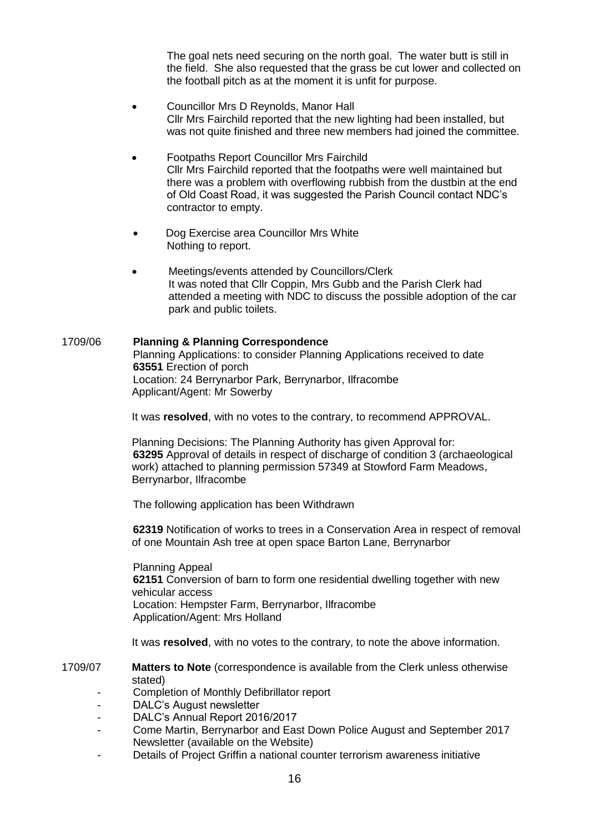The goal nets need securing on the north goal. The water butt is still in the field. She also requested that the grass be cut lower and collected on the football pitch as at the moment it is unfit for purpose.

- Councillor Mrs D Reynolds, Manor Hall Cllr Mrs Fairchild reported that the new lighting had been installed, but was not quite finished and three new members had joined the committee.
- Footpaths Report Councillor Mrs Fairchild Cllr Mrs Fairchild reported that the footpaths were well maintained but there was a problem with overflowing rubbish from the dustbin at the end of Old Coast Road, it was suggested the Parish Council contact NDC's contractor to empty.
- Dog Exercise area Councillor Mrs White Nothing to report.
- Meetings/events attended by Councillors/Clerk It was noted that Cllr Coppin, Mrs Gubb and the Parish Clerk had attended a meeting with NDC to discuss the possible adoption of the car park and public toilets.

# 1709/06 **Planning & Planning Correspondence**

Planning Applications: to consider Planning Applications received to date **63551** Erection of porch Location: 24 Berrynarbor Park, Berrynarbor, Ilfracombe Applicant/Agent: Mr Sowerby

It was **resolved**, with no votes to the contrary, to recommend APPROVAL.

Planning Decisions: The Planning Authority has given Approval for: **63295** Approval of details in respect of discharge of condition 3 (archaeological work) attached to planning permission 57349 at Stowford Farm Meadows, Berrynarbor, Ilfracombe

The following application has been Withdrawn

**62319** Notification of works to trees in a Conservation Area in respect of removal of one Mountain Ash tree at open space Barton Lane, Berrynarbor

Planning Appeal **62151** Conversion of barn to form one residential dwelling together with new vehicular access Location: Hempster Farm, Berrynarbor, Ilfracombe Application/Agent: Mrs Holland

It was **resolved**, with no votes to the contrary, to note the above information.

1709/07 **Matters to Note** (correspondence is available from the Clerk unless otherwise stated)

- Completion of Monthly Defibrillator report
- DALC's August newsletter
- DALC's Annual Report 2016/2017
- Come Martin, Berrynarbor and East Down Police August and September 2017 Newsletter (available on the Website)
- Details of Project Griffin a national counter terrorism awareness initiative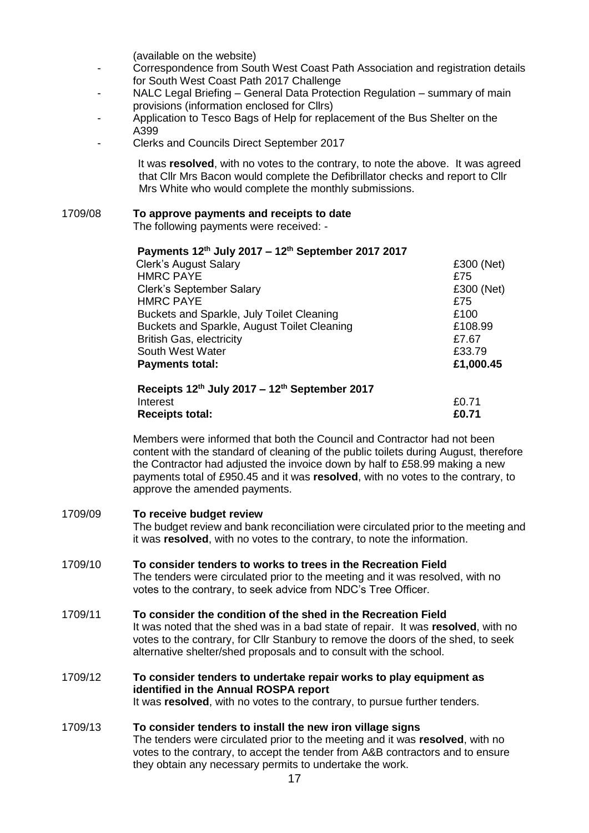(available on the website)

- Correspondence from South West Coast Path Association and registration details for South West Coast Path 2017 Challenge
- NALC Legal Briefing General Data Protection Regulation summary of main provisions (information enclosed for Cllrs)
- Application to Tesco Bags of Help for replacement of the Bus Shelter on the A399
- Clerks and Councils Direct September 2017

 It was **resolved**, with no votes to the contrary, to note the above. It was agreed that Cllr Mrs Bacon would complete the Defibrillator checks and report to Cllr Mrs White who would complete the monthly submissions.

## 1709/08 **To approve payments and receipts to date**

The following payments were received: -

| Payments 12th July 2017 - 12th September 2017 2017                                                 |            |
|----------------------------------------------------------------------------------------------------|------------|
| <b>Clerk's August Salary</b>                                                                       | £300 (Net) |
| <b>HMRC PAYE</b>                                                                                   | £75        |
| <b>Clerk's September Salary</b>                                                                    | £300 (Net) |
| <b>HMRC PAYE</b>                                                                                   | £75        |
| Buckets and Sparkle, July Toilet Cleaning                                                          | £100       |
| Buckets and Sparkle, August Toilet Cleaning                                                        | £108.99    |
| <b>British Gas, electricity</b>                                                                    | £7.67      |
| South West Water                                                                                   | £33.79     |
| <b>Payments total:</b>                                                                             | £1,000.45  |
| $D_{\text{non-1}}$ and $D_{\text{on}}$ and $D_{\text{on}}$ and $D_{\text{on}}$ and $D_{\text{on}}$ |            |

#### **Receipts 12th July 2017 – 12th September 2017**  Interest  $£0.71$ **Receipts total: £0.71**

Members were informed that both the Council and Contractor had not been content with the standard of cleaning of the public toilets during August, therefore the Contractor had adjusted the invoice down by half to £58.99 making a new payments total of £950.45 and it was **resolved**, with no votes to the contrary, to approve the amended payments.

# 1709/09 **To receive budget review**  The budget review and bank reconciliation were circulated prior to the meeting and it was **resolved**, with no votes to the contrary, to note the information. 1709/10 **To consider tenders to works to trees in the Recreation Field**

The tenders were circulated prior to the meeting and it was resolved, with no votes to the contrary, to seek advice from NDC's Tree Officer.

# 1709/11 **To consider the condition of the shed in the Recreation Field**

It was noted that the shed was in a bad state of repair. It was **resolved**, with no votes to the contrary, for Cllr Stanbury to remove the doors of the shed, to seek alternative shelter/shed proposals and to consult with the school.

1709/12 **To consider tenders to undertake repair works to play equipment as identified in the Annual ROSPA report** It was **resolved**, with no votes to the contrary, to pursue further tenders.

#### 1709/13 **To consider tenders to install the new iron village signs** The tenders were circulated prior to the meeting and it was **resolved**, with no votes to the contrary, to accept the tender from A&B contractors and to ensure they obtain any necessary permits to undertake the work.